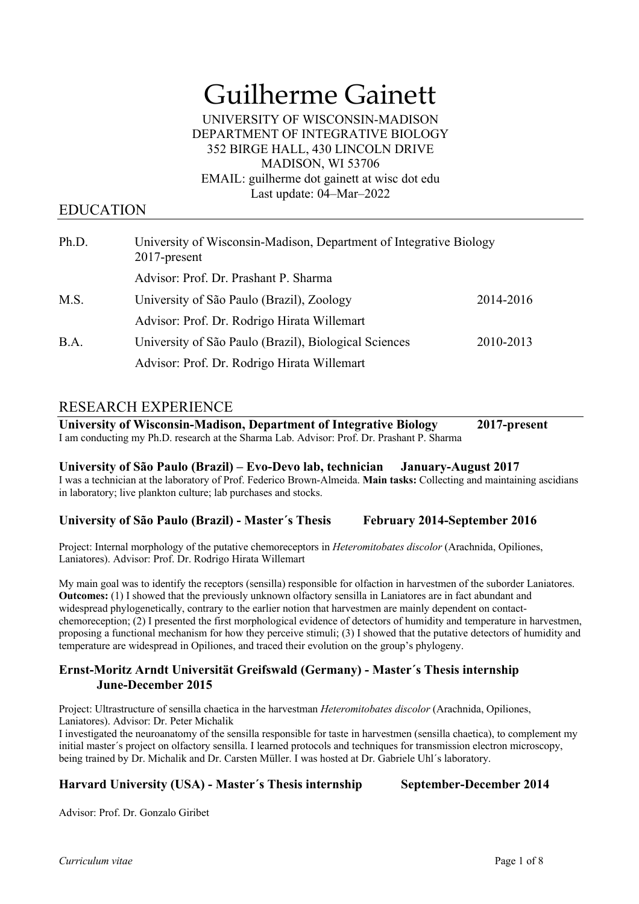# Guilherme Gainett

#### UNIVERSITY OF WISCONSIN-MADISON DEPARTMENT OF INTEGRATIVE BIOLOGY 352 BIRGE HALL, 430 LINCOLN DRIVE MADISON, WI 53706 EMAIL: guilherme dot gainett at wisc dot edu Last update: 04–Mar–2022

# EDUCATION

| Ph.D. | University of Wisconsin-Madison, Department of Integrative Biology<br>$2017$ -present |           |
|-------|---------------------------------------------------------------------------------------|-----------|
|       | Advisor: Prof. Dr. Prashant P. Sharma                                                 |           |
| M.S.  | University of São Paulo (Brazil), Zoology                                             | 2014-2016 |
|       | Advisor: Prof. Dr. Rodrigo Hirata Willemart                                           |           |
| B.A.  | University of São Paulo (Brazil), Biological Sciences                                 | 2010-2013 |
|       | Advisor: Prof. Dr. Rodrigo Hirata Willemart                                           |           |

# RESEARCH EXPERIENCE

**University of Wisconsin-Madison, Department of Integrative Biology 2017-present** I am conducting my Ph.D. research at the Sharma Lab. Advisor: Prof. Dr. Prashant P. Sharma

## **University of São Paulo (Brazil) – Evo-Devo lab, technician January-August 2017**

I was a technician at the laboratory of Prof. Federico Brown-Almeida. **Main tasks:** Collecting and maintaining ascidians in laboratory; live plankton culture; lab purchases and stocks.

## **University of São Paulo (Brazil) - Master´s Thesis February 2014-September 2016**

Project: Internal morphology of the putative chemoreceptors in *Heteromitobates discolor* (Arachnida, Opiliones, Laniatores). Advisor: Prof. Dr. Rodrigo Hirata Willemart

My main goal was to identify the receptors (sensilla) responsible for olfaction in harvestmen of the suborder Laniatores. **Outcomes:** (1) I showed that the previously unknown olfactory sensilla in Laniatores are in fact abundant and widespread phylogenetically, contrary to the earlier notion that harvestmen are mainly dependent on contactchemoreception; (2) I presented the first morphological evidence of detectors of humidity and temperature in harvestmen, proposing a functional mechanism for how they perceive stimuli; (3) I showed that the putative detectors of humidity and temperature are widespread in Opiliones, and traced their evolution on the group's phylogeny.

## **Ernst-Moritz Arndt Universität Greifswald (Germany) - Master´s Thesis internship June-December 2015**

Project: Ultrastructure of sensilla chaetica in the harvestman *Heteromitobates discolor* (Arachnida, Opiliones, Laniatores). Advisor: Dr. Peter Michalik

I investigated the neuroanatomy of the sensilla responsible for taste in harvestmen (sensilla chaetica), to complement my initial master´s project on olfactory sensilla. I learned protocols and techniques for transmission electron microscopy, being trained by Dr. Michalik and Dr. Carsten Müller. I was hosted at Dr. Gabriele Uhl´s laboratory.

## **Harvard University (USA) - Master´s Thesis internship September-December 2014**

Advisor: Prof. Dr. Gonzalo Giribet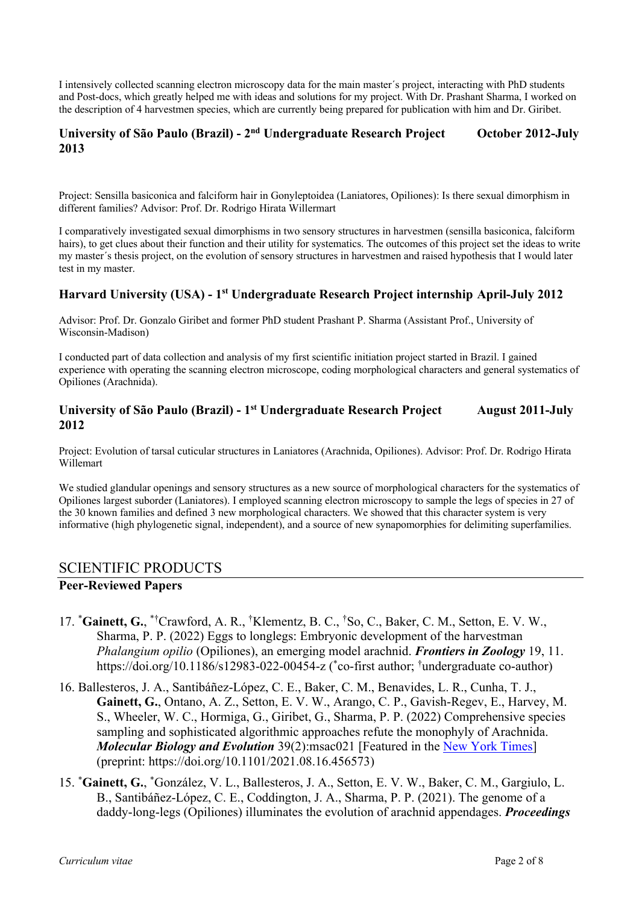I intensively collected scanning electron microscopy data for the main master´s project, interacting with PhD students and Post-docs, which greatly helped me with ideas and solutions for my project. With Dr. Prashant Sharma, I worked on the description of 4 harvestmen species, which are currently being prepared for publication with him and Dr. Giribet.

#### **University of São Paulo (Brazil) - 2nd Undergraduate Research Project October 2012-July 2013**

Project: Sensilla basiconica and falciform hair in Gonyleptoidea (Laniatores, Opiliones): Is there sexual dimorphism in different families? Advisor: Prof. Dr. Rodrigo Hirata Willermart

I comparatively investigated sexual dimorphisms in two sensory structures in harvestmen (sensilla basiconica, falciform hairs), to get clues about their function and their utility for systematics. The outcomes of this project set the ideas to write my master´s thesis project, on the evolution of sensory structures in harvestmen and raised hypothesis that I would later test in my master.

#### **Harvard University (USA) - 1st Undergraduate Research Project internship April-July 2012**

Advisor: Prof. Dr. Gonzalo Giribet and former PhD student Prashant P. Sharma (Assistant Prof., University of Wisconsin-Madison)

I conducted part of data collection and analysis of my first scientific initiation project started in Brazil. I gained experience with operating the scanning electron microscope, coding morphological characters and general systematics of Opiliones (Arachnida).

#### **University of São Paulo (Brazil) - 1st Undergraduate Research Project August 2011-July 2012**

Project: Evolution of tarsal cuticular structures in Laniatores (Arachnida, Opiliones). Advisor: Prof. Dr. Rodrigo Hirata Willemart

We studied glandular openings and sensory structures as a new source of morphological characters for the systematics of Opiliones largest suborder (Laniatores). I employed scanning electron microscopy to sample the legs of species in 27 of the 30 known families and defined 3 new morphological characters. We showed that this character system is very informative (high phylogenetic signal, independent), and a source of new synapomorphies for delimiting superfamilies.

#### SCIENTIFIC PRODUCTS

#### **Peer-Reviewed Papers**

- 17. \*Gainett, G., \*†Crawford, A. R., †Klementz, B. C., †So, C., Baker, C. M., Setton, E. V. W., Sharma, P. P. (2022) Eggs to longlegs: Embryonic development of the harvestman *Phalangium opilio* (Opiliones), an emerging model arachnid. *Frontiers in Zoology* 19, 11. https://doi.org/10.1186/s12983-022-00454-z (\*co-first author; <sup>†</sup>undergraduate co-author)
- 16. Ballesteros, J. A., Santibáñez-López, C. E., Baker, C. M., Benavides, L. R., Cunha, T. J., **Gainett, G.**, Ontano, A. Z., Setton, E. V. W., Arango, C. P., Gavish-Regev, E., Harvey, M. S., Wheeler, W. C., Hormiga, G., Giribet, G., Sharma, P. P. (2022) Comprehensive species sampling and sophisticated algorithmic approaches refute the monophyly of Arachnida. *Molecular Biology and Evolution* 39(2):msac021 [Featured in the New York Times] (preprint: https://doi.org/10.1101/2021.08.16.456573)
- 15. \* **Gainett, G.**, \* González, V. L., Ballesteros, J. A., Setton, E. V. W., Baker, C. M., Gargiulo, L. B., Santibáñez-López, C. E., Coddington, J. A., Sharma, P. P. (2021). The genome of a daddy-long-legs (Opiliones) illuminates the evolution of arachnid appendages. *Proceedings*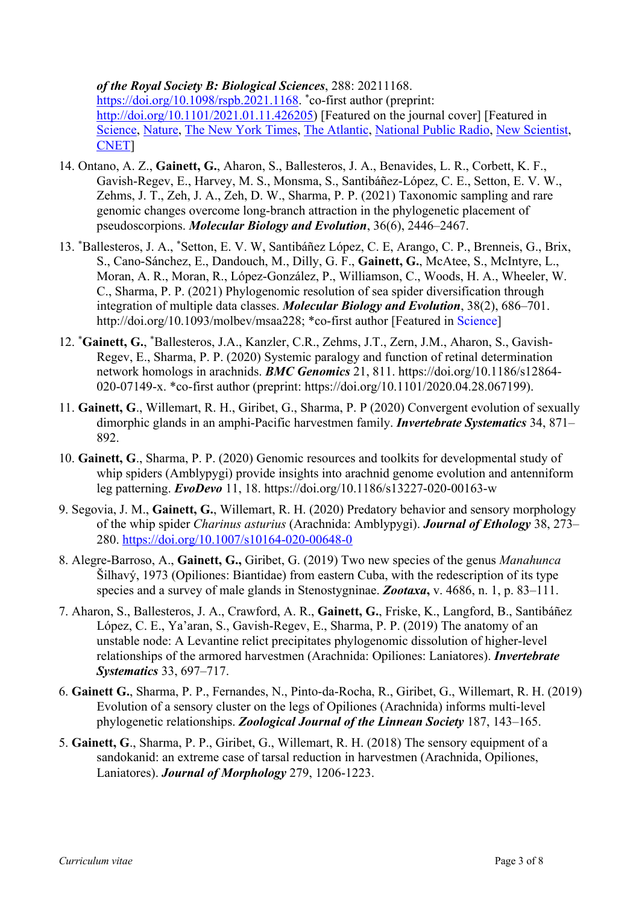## *of the Royal Society B: Biological Sciences*, 288: 20211168.

https://doi.org/10.1098/rspb.2021.1168. \*co-first author (preprint: http://doi.org/10.1101/2021.01.11.426205) [Featured on the journal cover] [Featured in Science, Nature, The New York Times, The Atlantic, National Public Radio, New Scientist, CNET]

- 14. Ontano, A. Z., **Gainett, G.**, Aharon, S., Ballesteros, J. A., Benavides, L. R., Corbett, K. F., Gavish-Regev, E., Harvey, M. S., Monsma, S., Santibáñez-López, C. E., Setton, E. V. W., Zehms, J. T., Zeh, J. A., Zeh, D. W., Sharma, P. P. (2021) Taxonomic sampling and rare genomic changes overcome long-branch attraction in the phylogenetic placement of pseudoscorpions. *Molecular Biology and Evolution*, 36(6), 2446–2467.
- 13. \* Ballesteros, J. A., \* Setton, E. V. W, Santibáñez López, C. E, Arango, C. P., Brenneis, G., Brix, S., Cano-Sánchez, E., Dandouch, M., Dilly, G. F., **Gainett, G.**, McAtee, S., McIntyre, L., Moran, A. R., Moran, R., López-González, P., Williamson, C., Woods, H. A., Wheeler, W. C., Sharma, P. P. (2021) Phylogenomic resolution of sea spider diversification through integration of multiple data classes. *Molecular Biology and Evolution*, 38(2), 686–701. http://doi.org/10.1093/molbev/msaa228; \*co-first author [Featured in Science]
- 12. \* **Gainett, G.**, \* Ballesteros, J.A., Kanzler, C.R., Zehms, J.T., Zern, J.M., Aharon, S., Gavish-Regev, E., Sharma, P. P. (2020) Systemic paralogy and function of retinal determination network homologs in arachnids. *BMC Genomics* 21, 811. https://doi.org/10.1186/s12864- 020-07149-x. \*co-first author (preprint: https://doi.org/10.1101/2020.04.28.067199).
- 11. **Gainett, G**., Willemart, R. H., Giribet, G., Sharma, P. P (2020) Convergent evolution of sexually dimorphic glands in an amphi-Pacific harvestmen family. *Invertebrate Systematics* 34, 871– 892.
- 10. **Gainett, G**., Sharma, P. P. (2020) Genomic resources and toolkits for developmental study of whip spiders (Amblypygi) provide insights into arachnid genome evolution and antenniform leg patterning. *EvoDevo* 11, 18. https://doi.org/10.1186/s13227-020-00163-w
- 9. Segovia, J. M., **Gainett, G.**, Willemart, R. H. (2020) Predatory behavior and sensory morphology of the whip spider *Charinus asturius* (Arachnida: Amblypygi). *Journal of Ethology* 38, 273– 280. https://doi.org/10.1007/s10164-020-00648-0
- 8. Alegre-Barroso, A., **Gainett, G.,** Giribet, G. (2019) Two new species of the genus *Manahunca* Šilhavý, 1973 (Opiliones: Biantidae) from eastern Cuba, with the redescription of its type species and a survey of male glands in Stenostygninae. *Zootaxa***,** v. 4686, n. 1, p. 83–111.
- 7. Aharon, S., Ballesteros, J. A., Crawford, A. R., **Gainett, G.**, Friske, K., Langford, B., Santibáñez López, C. E., Ya'aran, S., Gavish-Regev, E., Sharma, P. P. (2019) The anatomy of an unstable node: A Levantine relict precipitates phylogenomic dissolution of higher-level relationships of the armored harvestmen (Arachnida: Opiliones: Laniatores). *Invertebrate Systematics* 33, 697–717.
- 6. **Gainett G.**, Sharma, P. P., Fernandes, N., Pinto-da-Rocha, R., Giribet, G., Willemart, R. H. (2019) Evolution of a sensory cluster on the legs of Opiliones (Arachnida) informs multi-level phylogenetic relationships. *Zoological Journal of the Linnean Society* 187, 143–165.
- 5. **Gainett, G**., Sharma, P. P., Giribet, G., Willemart, R. H. (2018) The sensory equipment of a sandokanid: an extreme case of tarsal reduction in harvestmen (Arachnida, Opiliones, Laniatores). *Journal of Morphology* 279, 1206-1223.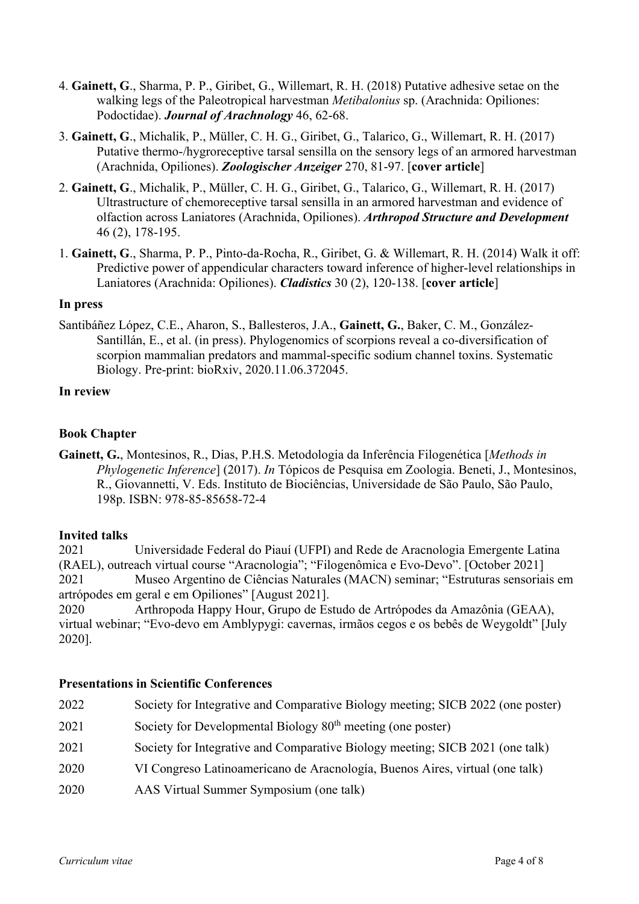- 4. **Gainett, G**., Sharma, P. P., Giribet, G., Willemart, R. H. (2018) Putative adhesive setae on the walking legs of the Paleotropical harvestman *Metibalonius* sp. (Arachnida: Opiliones: Podoctidae). *Journal of Arachnology* 46, 62-68.
- 3. **Gainett, G**., Michalik, P., Müller, C. H. G., Giribet, G., Talarico, G., Willemart, R. H. (2017) Putative thermo-/hygroreceptive tarsal sensilla on the sensory legs of an armored harvestman (Arachnida, Opiliones). *Zoologischer Anzeiger* 270, 81-97. [**cover article**]
- 2. **Gainett, G**., Michalik, P., Müller, C. H. G., Giribet, G., Talarico, G., Willemart, R. H. (2017) Ultrastructure of chemoreceptive tarsal sensilla in an armored harvestman and evidence of olfaction across Laniatores (Arachnida, Opiliones). *Arthropod Structure and Development* 46 (2), 178-195.
- 1. **Gainett, G**., Sharma, P. P., Pinto-da-Rocha, R., Giribet, G. & Willemart, R. H. (2014) Walk it off: Predictive power of appendicular characters toward inference of higher-level relationships in Laniatores (Arachnida: Opiliones). *Cladistics* 30 (2), 120-138. [**cover article**]

#### **In press**

Santibáñez López, C.E., Aharon, S., Ballesteros, J.A., **Gainett, G.**, Baker, C. M., González-Santillán, E., et al. (in press). Phylogenomics of scorpions reveal a co-diversification of scorpion mammalian predators and mammal-specific sodium channel toxins. Systematic Biology. Pre-print: bioRxiv, 2020.11.06.372045.

### **In review**

### **Book Chapter**

**Gainett, G.**, Montesinos, R., Dias, P.H.S. Metodologia da Inferência Filogenética [*Methods in Phylogenetic Inference*] (2017). *In* Tópicos de Pesquisa em Zoologia. Beneti, J., Montesinos, R., Giovannetti, V. Eds. Instituto de Biociências, Universidade de São Paulo, São Paulo, 198p. ISBN: 978-85-85658-72-4

#### **Invited talks**

2021 Universidade Federal do Piauí (UFPI) and Rede de Aracnologia Emergente Latina (RAEL), outreach virtual course "Aracnologia"; "Filogenômica e Evo-Devo". [October 2021] 2021 Museo Argentino de Ciências Naturales (MACN) seminar; "Estruturas sensoriais em artrópodes em geral e em Opiliones" [August 2021].

2020 Arthropoda Happy Hour, Grupo de Estudo de Artrópodes da Amazônia (GEAA), virtual webinar; "Evo-devo em Amblypygi: cavernas, irmãos cegos e os bebês de Weygoldt" [July 2020].

#### **Presentations in Scientific Conferences**

| Society for Developmental Biology $80th$ meeting (one poster)<br>2021<br>Society for Integrative and Comparative Biology meeting; SICB 2021 (one talk)<br>2021<br>VI Congreso Latinoamericano de Aracnología, Buenos Aires, virtual (one talk)<br>2020<br>AAS Virtual Summer Symposium (one talk)<br>2020 | 2022 | Society for Integrative and Comparative Biology meeting; SICB 2022 (one poster) |
|-----------------------------------------------------------------------------------------------------------------------------------------------------------------------------------------------------------------------------------------------------------------------------------------------------------|------|---------------------------------------------------------------------------------|
|                                                                                                                                                                                                                                                                                                           |      |                                                                                 |
|                                                                                                                                                                                                                                                                                                           |      |                                                                                 |
|                                                                                                                                                                                                                                                                                                           |      |                                                                                 |
|                                                                                                                                                                                                                                                                                                           |      |                                                                                 |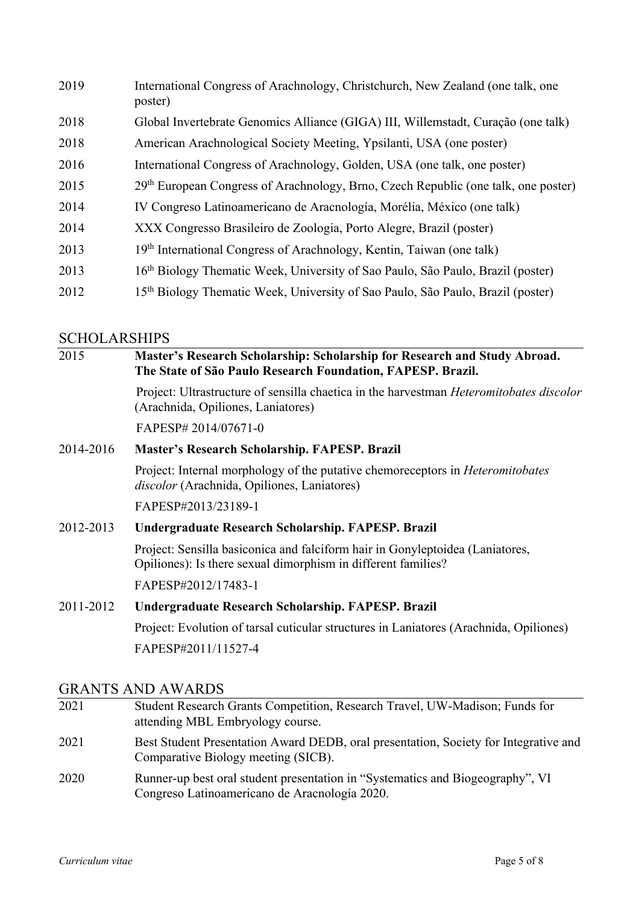| 2019 | International Congress of Arachnology, Christchurch, New Zealand (one talk, one<br>poster)     |
|------|------------------------------------------------------------------------------------------------|
| 2018 | Global Invertebrate Genomics Alliance (GIGA) III, Willemstadt, Curação (one talk)              |
| 2018 | American Arachnological Society Meeting, Ypsilanti, USA (one poster)                           |
| 2016 | International Congress of Arachnology, Golden, USA (one talk, one poster)                      |
| 2015 | 29 <sup>th</sup> European Congress of Arachnology, Brno, Czech Republic (one talk, one poster) |
| 2014 | IV Congreso Latinoamericano de Aracnología, Morélia, México (one talk)                         |
| 2014 | XXX Congresso Brasileiro de Zoologia, Porto Alegre, Brazil (poster)                            |
| 2013 | 19 <sup>th</sup> International Congress of Arachnology, Kentin, Taiwan (one talk)              |
| 2013 | 16 <sup>th</sup> Biology Thematic Week, University of Sao Paulo, São Paulo, Brazil (poster)    |
| 2012 | 15 <sup>th</sup> Biology Thematic Week, University of Sao Paulo, São Paulo, Brazil (poster)    |

# **SCHOLARSHIPS**

| 2015      | Master's Research Scholarship: Scholarship for Research and Study Abroad.<br>The State of São Paulo Research Foundation, FAPESP. Brazil.       |  |
|-----------|------------------------------------------------------------------------------------------------------------------------------------------------|--|
|           | Project: Ultrastructure of sensilla chaetica in the harvestman <i>Heteromitobates discolor</i><br>(Arachnida, Opiliones, Laniatores)           |  |
|           | FAPESP# 2014/07671-0                                                                                                                           |  |
| 2014-2016 | Master's Research Scholarship. FAPESP. Brazil                                                                                                  |  |
|           | Project: Internal morphology of the putative chemoreceptors in <i>Heteromitobates</i><br>discolor (Arachnida, Opiliones, Laniatores)           |  |
|           | FAPESP#2013/23189-1                                                                                                                            |  |
| 2012-2013 | Undergraduate Research Scholarship. FAPESP. Brazil                                                                                             |  |
|           | Project: Sensilla basiconica and falciform hair in Gonyleptoidea (Laniatores,<br>Opiliones): Is there sexual dimorphism in different families? |  |
|           | FAPESP#2012/17483-1                                                                                                                            |  |
| 2011-2012 | Undergraduate Research Scholarship. FAPESP. Brazil                                                                                             |  |
|           | Project: Evolution of tarsal cuticular structures in Laniatores (Arachnida, Opiliones)                                                         |  |

FAPESP#2011/11527-4

# GRANTS AND AWARDS

| 2021 | Student Research Grants Competition, Research Travel, UW-Madison; Funds for<br>attending MBL Embryology course.                 |
|------|---------------------------------------------------------------------------------------------------------------------------------|
| 2021 | Best Student Presentation Award DEDB, oral presentation, Society for Integrative and<br>Comparative Biology meeting (SICB).     |
| 2020 | Runner-up best oral student presentation in "Systematics and Biogeography", VI<br>Congreso Latinoamericano de Aracnología 2020. |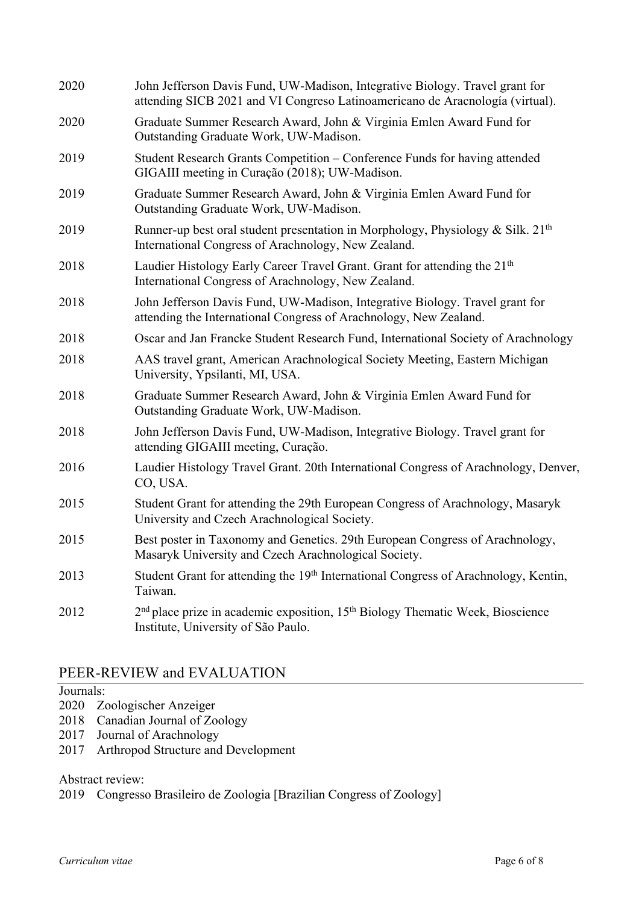| 2020 | John Jefferson Davis Fund, UW-Madison, Integrative Biology. Travel grant for<br>attending SICB 2021 and VI Congreso Latinoamericano de Aracnología (virtual). |
|------|---------------------------------------------------------------------------------------------------------------------------------------------------------------|
| 2020 | Graduate Summer Research Award, John & Virginia Emlen Award Fund for<br>Outstanding Graduate Work, UW-Madison.                                                |
| 2019 | Student Research Grants Competition – Conference Funds for having attended<br>GIGAIII meeting in Curação (2018); UW-Madison.                                  |
| 2019 | Graduate Summer Research Award, John & Virginia Emlen Award Fund for<br>Outstanding Graduate Work, UW-Madison.                                                |
| 2019 | Runner-up best oral student presentation in Morphology, Physiology & Silk. $21th$<br>International Congress of Arachnology, New Zealand.                      |
| 2018 | Laudier Histology Early Career Travel Grant. Grant for attending the 21 <sup>th</sup><br>International Congress of Arachnology, New Zealand.                  |
| 2018 | John Jefferson Davis Fund, UW-Madison, Integrative Biology. Travel grant for<br>attending the International Congress of Arachnology, New Zealand.             |
| 2018 | Oscar and Jan Francke Student Research Fund, International Society of Arachnology                                                                             |
| 2018 | AAS travel grant, American Arachnological Society Meeting, Eastern Michigan<br>University, Ypsilanti, MI, USA.                                                |
| 2018 | Graduate Summer Research Award, John & Virginia Emlen Award Fund for<br>Outstanding Graduate Work, UW-Madison.                                                |
| 2018 | John Jefferson Davis Fund, UW-Madison, Integrative Biology. Travel grant for<br>attending GIGAIII meeting, Curação.                                           |
| 2016 | Laudier Histology Travel Grant. 20th International Congress of Arachnology, Denver,<br>CO, USA.                                                               |
| 2015 | Student Grant for attending the 29th European Congress of Arachnology, Masaryk<br>University and Czech Arachnological Society.                                |
| 2015 | Best poster in Taxonomy and Genetics. 29th European Congress of Arachnology,<br>Masaryk University and Czech Arachnological Society.                          |
| 2013 | Student Grant for attending the 19th International Congress of Arachnology, Kentin,<br>Taiwan.                                                                |
| 2012 | 2 <sup>nd</sup> place prize in academic exposition, 15 <sup>th</sup> Biology Thematic Week, Bioscience<br>Institute, University of São Paulo.                 |

# PEER-REVIEW and EVALUATION

# Journals:

- 2020 Zoologischer Anzeiger
- 2018 Canadian Journal of Zoology
- 2017 Journal of Arachnology
- 2017 Arthropod Structure and Development

Abstract review:

2019 Congresso Brasileiro de Zoologia [Brazilian Congress of Zoology]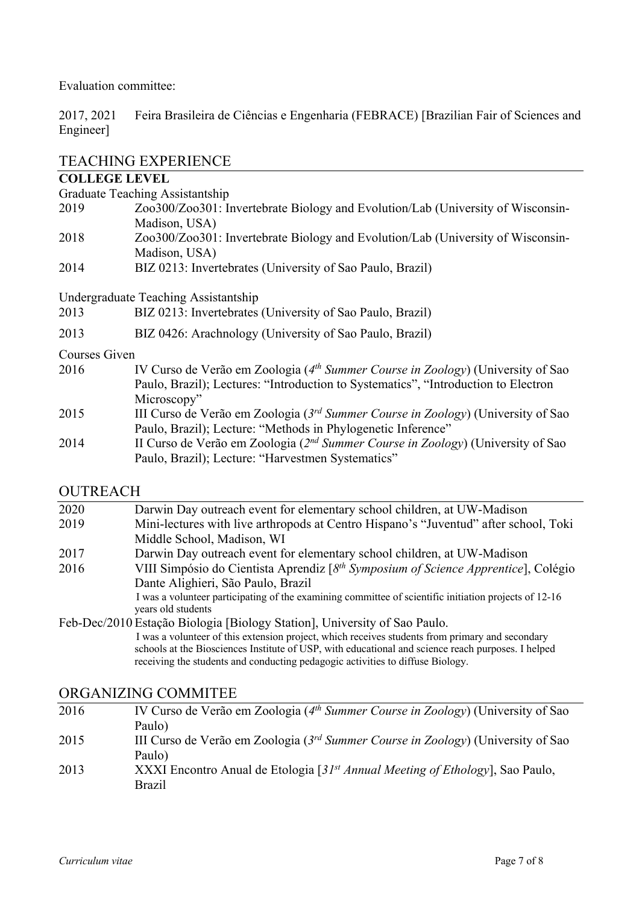Evaluation committee:

2017, 2021 Feira Brasileira de Ciências e Engenharia (FEBRACE) [Brazilian Fair of Sciences and Engineer]

## TEACHING EXPERIENCE

#### **COLLEGE LEVEL**

Graduate Teaching Assistantship

- 2019 Zoo300/Zoo301: Invertebrate Biology and Evolution/Lab (University of Wisconsin-Madison, USA)
- 2018 Zoo300/Zoo301: Invertebrate Biology and Evolution/Lab (University of Wisconsin-Madison, USA)
- 2014 BIZ 0213: Invertebrates (University of Sao Paulo, Brazil)

Undergraduate Teaching Assistantship

- 2013 BIZ 0213: Invertebrates (University of Sao Paulo, Brazil)
- 2013 BIZ 0426: Arachnology (University of Sao Paulo, Brazil)

### Courses Given

- 2016 IV Curso de Verão em Zoologia (*4th Summer Course in Zoology*) (University of Sao Paulo, Brazil); Lectures: "Introduction to Systematics", "Introduction to Electron Microscopy"
- 2015 III Curso de Verão em Zoologia (*3rd Summer Course in Zoology*) (University of Sao Paulo, Brazil); Lecture: "Methods in Phylogenetic Inference"
- 2014 II Curso de Verão em Zoologia (*2nd Summer Course in Zoology*) (University of Sao Paulo, Brazil); Lecture: "Harvestmen Systematics"

## OUTREACH

| 2020 | Darwin Day outreach event for elementary school children, at UW-Madison                               |
|------|-------------------------------------------------------------------------------------------------------|
| 2019 | Mini-lectures with live arthropods at Centro Hispano's "Juventud" after school, Toki                  |
|      | Middle School, Madison, WI                                                                            |
| 2017 | Darwin Day outreach event for elementary school children, at UW-Madison                               |
| 2016 | VIII Simpósio do Cientista Aprendiz [8 <sup>th</sup> Symposium of Science Apprentice], Colégio        |
|      | Dante Alighieri, São Paulo, Brazil                                                                    |
|      | I was a volunteer participating of the examining committee of scientific initiation projects of 12-16 |
|      | years old students                                                                                    |
|      | $E.1, D.$ $\therefore$ (2010 $E.1, E.2$ ), $D.1, E.1$ , $D.1, E.2, D.1$ , $D.1, E.2, D.1$             |

Feb-Dec/2010 Estação Biologia [Biology Station], University of Sao Paulo. I was a volunteer of this extension project, which receives students from primary and secondary schools at the Biosciences Institute of USP, with educational and science reach purposes. I helped receiving the students and conducting pedagogic activities to diffuse Biology.

## ORGANIZING COMMITEE

2016 IV Curso de Verão em Zoologia (*4th Summer Course in Zoology*) (University of Sao Paulo) 2015 III Curso de Verão em Zoologia (*3rd Summer Course in Zoology*) (University of Sao Paulo) 2013 XXXI Encontro Anual de Etologia [*31st Annual Meeting of Ethology*], Sao Paulo, Brazil